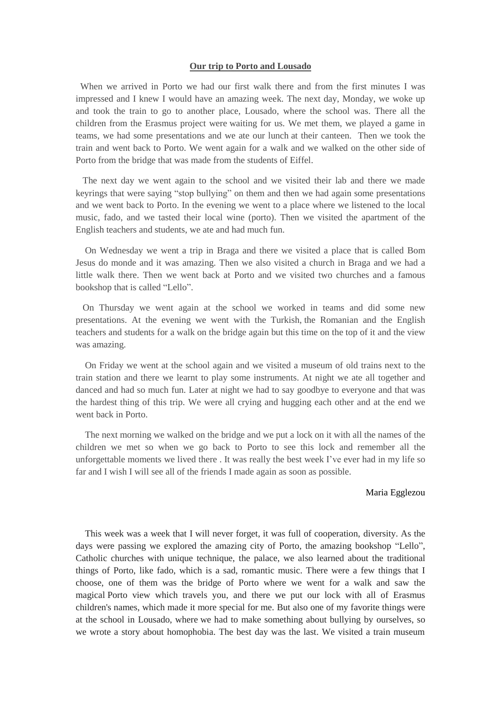## **Our trip to Porto and Lousado**

 When we arrived in Porto we had our first walk there and from the first minutes I was impressed and I knew I would have an amazing week. The next day, Monday, we woke up and took the train to go to another place, Lousado, where the school was. There all the children from the Erasmus project were waiting for us. We met them, we played a game in teams, we had some presentations and we ate our lunch at their canteen. Then we took the train and went back to Porto. We went again for a walk and we walked on the other side of Porto from the bridge that was made from the students of Eiffel.

 The next day we went again to the school and we visited their lab and there we made keyrings that were saying "stop bullying" on them and then we had again some presentations and we went back to Porto. In the evening we went to a place where we listened to the local music, fado, and we tasted their local wine (porto). Then we visited the apartment of the English teachers and students, we ate and had much fun.

 On Wednesday we went a trip in Braga and there we visited a place that is called Bom Jesus do monde and it was amazing. Then we also visited a church in Braga and we had a little walk there. Then we went back at Porto and we visited two churches and a famous bookshop that is called "Lello".

 On Thursday we went again at the school we worked in teams and did some new presentations. At the evening we went with the Turkish, the Romanian and the English teachers and students for a walk on the bridge again but this time on the top of it and the view was amazing.

 On Friday we went at the school again and we visited a museum of old trains next to the train station and there we learnt to play some instruments. At night we ate all together and danced and had so much fun. Later at night we had to say goodbye to everyone and that was the hardest thing of this trip. We were all crying and hugging each other and at the end we went back in Porto.

 The next morning we walked on the bridge and we put a lock on it with all the names of the children we met so when we go back to Porto to see this lock and remember all the unforgettable moments we lived there . It was really the best week I've ever had in my life so far and I wish I will see all of the friends I made again as soon as possible.

## Maria Egglezou

 This week was a week that I will never forget, it was full of cooperation, diversity. As the days were passing we explored the amazing city of Porto, the amazing bookshop "Lello", Catholic churches with unique technique, the palace, we also learned about the traditional things of Porto, like fado, which is a sad, romantic music. There were a few things that I choose, one of them was the bridge of Porto where we went for a walk and saw the magical Porto view which travels you, and there we put our lock with all of Erasmus children's names, which made it more special for me. But also one of my favorite things were at the school in Lousado, where we had to make something about bullying by ourselves, so we wrote a story about homophobia. The best day was the last. We visited a train museum